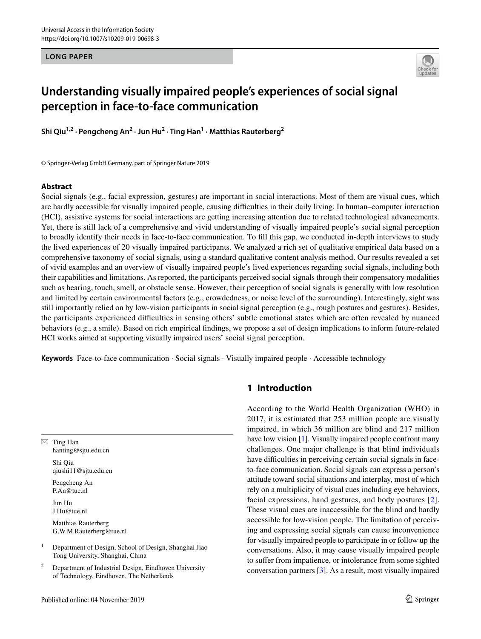**LONG PAPER**



# **Understanding visually impaired people's experiences of social signal perception in face‑to‑face communication**

**Shi Qiu1,2 · Pengcheng An2 · Jun Hu2 · Ting Han1 · Matthias Rauterberg<sup>2</sup>**

© Springer-Verlag GmbH Germany, part of Springer Nature 2019

# **Abstract**

Social signals (e.g., facial expression, gestures) are important in social interactions. Most of them are visual cues, which are hardly accessible for visually impaired people, causing difculties in their daily living. In human–computer interaction (HCI), assistive systems for social interactions are getting increasing attention due to related technological advancements. Yet, there is still lack of a comprehensive and vivid understanding of visually impaired people's social signal perception to broadly identify their needs in face-to-face communication. To fll this gap, we conducted in-depth interviews to study the lived experiences of 20 visually impaired participants. We analyzed a rich set of qualitative empirical data based on a comprehensive taxonomy of social signals, using a standard qualitative content analysis method. Our results revealed a set of vivid examples and an overview of visually impaired people's lived experiences regarding social signals, including both their capabilities and limitations. As reported, the participants perceived social signals through their compensatory modalities such as hearing, touch, smell, or obstacle sense. However, their perception of social signals is generally with low resolution and limited by certain environmental factors (e.g., crowdedness, or noise level of the surrounding). Interestingly, sight was still importantly relied on by low-vision participants in social signal perception (e.g., rough postures and gestures). Besides, the participants experienced difculties in sensing others' subtle emotional states which are often revealed by nuanced behaviors (e.g., a smile). Based on rich empirical fndings, we propose a set of design implications to inform future-related HCI works aimed at supporting visually impaired users' social signal perception.

**Keywords** Face-to-face communication · Social signals · Visually impaired people · Accessible technology

 $\boxtimes$  Ting Han hanting@sjtu.edu.cn Shi Qiu qiushi11@sjtu.edu.cn Pengcheng An P.An@tue.nl Jun Hu J.Hu@tue.nl Matthias Rauterberg G.W.M.Rauterberg@tue.nl <sup>1</sup> Department of Design, School of Design, Shanghai Jiao

Tong University, Shanghai, China

<sup>2</sup> Department of Industrial Design, Eindhoven University of Technology, Eindhoven, The Netherlands

# **1 Introduction**

According to the World Health Organization (WHO) in 2017, it is estimated that 253 million people are visually impaired, in which 36 million are blind and 217 million have low vision [[1\]](#page-15-0). Visually impaired people confront many challenges. One major challenge is that blind individuals have difficulties in perceiving certain social signals in faceto-face communication. Social signals can express a person's attitude toward social situations and interplay, most of which rely on a multiplicity of visual cues including eye behaviors, facial expressions, hand gestures, and body postures [[2](#page-15-1)]. These visual cues are inaccessible for the blind and hardly accessible for low-vision people. The limitation of perceiving and expressing social signals can cause inconvenience for visually impaired people to participate in or follow up the conversations. Also, it may cause visually impaired people to sufer from impatience, or intolerance from some sighted conversation partners [[3\]](#page-15-2). As a result, most visually impaired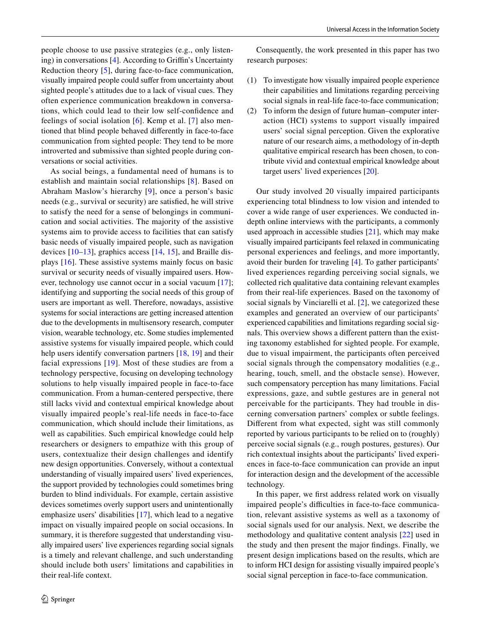people choose to use passive strategies (e.g., only listen-ing) in conversations [\[4](#page-15-3)]. According to Griffin's Uncertainty Reduction theory [\[5](#page-15-4)], during face-to-face communication, visually impaired people could sufer from uncertainty about sighted people's attitudes due to a lack of visual cues. They often experience communication breakdown in conversations, which could lead to their low self-confdence and feelings of social isolation [[6\]](#page-15-5). Kemp et al. [[7\]](#page-15-6) also mentioned that blind people behaved diferently in face-to-face communication from sighted people: They tend to be more introverted and submissive than sighted people during conversations or social activities.

As social beings, a fundamental need of humans is to establish and maintain social relationships [[8](#page-16-0)]. Based on Abraham Maslow's hierarchy [\[9\]](#page-16-1), once a person's basic needs (e.g., survival or security) are satisfed, he will strive to satisfy the need for a sense of belongings in communication and social activities. The majority of the assistive systems aim to provide access to facilities that can satisfy basic needs of visually impaired people, such as navigation devices [[10–](#page-16-2)[13\]](#page-16-3), graphics access [\[14,](#page-16-4) [15](#page-16-5)], and Braille displays [[16](#page-16-6)]. These assistive systems mainly focus on basic survival or security needs of visually impaired users. However, technology use cannot occur in a social vacuum [[17\]](#page-16-7); identifying and supporting the social needs of this group of users are important as well. Therefore, nowadays, assistive systems for social interactions are getting increased attention due to the developments in multisensory research, computer vision, wearable technology, etc. Some studies implemented assistive systems for visually impaired people, which could help users identify conversation partners [[18,](#page-16-8) [19](#page-16-9)] and their facial expressions [\[19\]](#page-16-9). Most of these studies are from a technology perspective, focusing on developing technology solutions to help visually impaired people in face-to-face communication. From a human-centered perspective, there still lacks vivid and contextual empirical knowledge about visually impaired people's real-life needs in face-to-face communication, which should include their limitations, as well as capabilities. Such empirical knowledge could help researchers or designers to empathize with this group of users, contextualize their design challenges and identify new design opportunities. Conversely, without a contextual understanding of visually impaired users' lived experiences, the support provided by technologies could sometimes bring burden to blind individuals. For example, certain assistive devices sometimes overly support users and unintentionally emphasize users' disabilities [[17\]](#page-16-7), which lead to a negative impact on visually impaired people on social occasions. In summary, it is therefore suggested that understanding visually impaired users' live experiences regarding social signals is a timely and relevant challenge, and such understanding should include both users' limitations and capabilities in their real-life context.

Consequently, the work presented in this paper has two research purposes:

- (1) To investigate how visually impaired people experience their capabilities and limitations regarding perceiving social signals in real-life face-to-face communication;
- (2) To inform the design of future human–computer interaction (HCI) systems to support visually impaired users' social signal perception. Given the explorative nature of our research aims, a methodology of in-depth qualitative empirical research has been chosen, to contribute vivid and contextual empirical knowledge about target users' lived experiences [[20\]](#page-16-10).

Our study involved 20 visually impaired participants experiencing total blindness to low vision and intended to cover a wide range of user experiences. We conducted indepth online interviews with the participants, a commonly used approach in accessible studies  $[21]$  $[21]$ , which may make visually impaired participants feel relaxed in communicating personal experiences and feelings, and more importantly, avoid their burden for traveling [[4\]](#page-15-3). To gather participants' lived experiences regarding perceiving social signals, we collected rich qualitative data containing relevant examples from their real-life experiences. Based on the taxonomy of social signals by Vinciarelli et al. [\[2\]](#page-15-1), we categorized these examples and generated an overview of our participants' experienced capabilities and limitations regarding social signals. This overview shows a diferent pattern than the existing taxonomy established for sighted people. For example, due to visual impairment, the participants often perceived social signals through the compensatory modalities (e.g., hearing, touch, smell, and the obstacle sense). However, such compensatory perception has many limitations. Facial expressions, gaze, and subtle gestures are in general not perceivable for the participants. They had trouble in discerning conversation partners' complex or subtle feelings. Diferent from what expected, sight was still commonly reported by various participants to be relied on to (roughly) perceive social signals (e.g., rough postures, gestures). Our rich contextual insights about the participants' lived experiences in face-to-face communication can provide an input for interaction design and the development of the accessible technology.

In this paper, we frst address related work on visually impaired people's difficulties in face-to-face communication, relevant assistive systems as well as a taxonomy of social signals used for our analysis. Next, we describe the methodology and qualitative content analysis [\[22\]](#page-16-12) used in the study and then present the major fndings. Finally, we present design implications based on the results, which are to inform HCI design for assisting visually impaired people's social signal perception in face-to-face communication.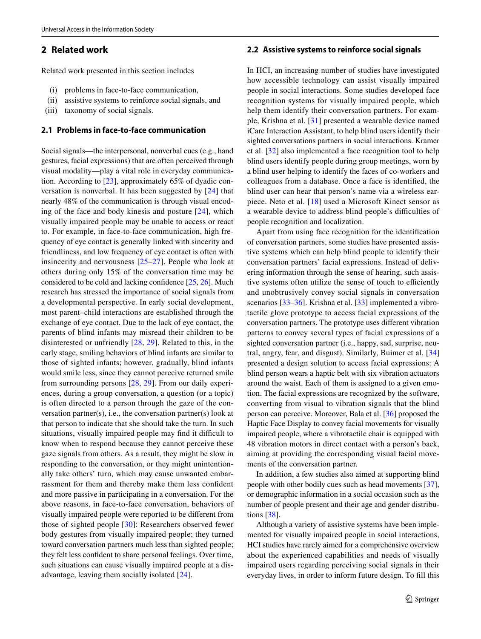# **2 Related work**

Related work presented in this section includes

- (i) problems in face-to-face communication,
- (ii) assistive systems to reinforce social signals, and
- (iii) taxonomy of social signals.

### **2.1 Problems in face‑to‑face communication**

Social signals—the interpersonal, nonverbal cues (e.g., hand gestures, facial expressions) that are often perceived through visual modality—play a vital role in everyday communication. According to [\[23](#page-16-13)], approximately 65% of dyadic conversation is nonverbal. It has been suggested by [[24](#page-16-14)] that nearly 48% of the communication is through visual encoding of the face and body kinesis and posture [[24\]](#page-16-14), which visually impaired people may be unable to access or react to. For example, in face-to-face communication, high frequency of eye contact is generally linked with sincerity and friendliness, and low frequency of eye contact is often with insincerity and nervousness [\[25–](#page-16-15)[27](#page-16-16)]. People who look at others during only 15% of the conversation time may be considered to be cold and lacking confdence [\[25](#page-16-15), [26](#page-16-17)]. Much research has stressed the importance of social signals from a developmental perspective. In early social development, most parent–child interactions are established through the exchange of eye contact. Due to the lack of eye contact, the parents of blind infants may misread their children to be disinterested or unfriendly [[28](#page-16-18), [29\]](#page-16-19). Related to this, in the early stage, smiling behaviors of blind infants are similar to those of sighted infants; however, gradually, blind infants would smile less, since they cannot perceive returned smile from surrounding persons [\[28,](#page-16-18) [29](#page-16-19)]. From our daily experiences, during a group conversation, a question (or a topic) is often directed to a person through the gaze of the conversation partner(s), i.e., the conversation partner(s) look at that person to indicate that she should take the turn. In such situations, visually impaired people may find it difficult to know when to respond because they cannot perceive these gaze signals from others. As a result, they might be slow in responding to the conversation, or they might unintentionally take others' turn, which may cause unwanted embarrassment for them and thereby make them less confdent and more passive in participating in a conversation. For the above reasons, in face-to-face conversation, behaviors of visually impaired people were reported to be diferent from those of sighted people [\[30\]](#page-16-20): Researchers observed fewer body gestures from visually impaired people; they turned toward conversation partners much less than sighted people; they felt less confdent to share personal feelings. Over time, such situations can cause visually impaired people at a disadvantage, leaving them socially isolated [\[24](#page-16-14)].

#### **2.2 Assistive systems to reinforce social signals**

In HCI, an increasing number of studies have investigated how accessible technology can assist visually impaired people in social interactions. Some studies developed face recognition systems for visually impaired people, which help them identify their conversation partners. For example, Krishna et al. [[31\]](#page-16-21) presented a wearable device named iCare Interaction Assistant, to help blind users identify their sighted conversations partners in social interactions. Kramer et al. [[32](#page-16-22)] also implemented a face recognition tool to help blind users identify people during group meetings, worn by a blind user helping to identify the faces of co-workers and colleagues from a database. Once a face is identifed, the blind user can hear that person's name via a wireless earpiece. Neto et al. [\[18\]](#page-16-8) used a Microsoft Kinect sensor as a wearable device to address blind people's difficulties of people recognition and localization.

Apart from using face recognition for the identifcation of conversation partners, some studies have presented assistive systems which can help blind people to identify their conversation partners' facial expressions. Instead of delivering information through the sense of hearing, such assistive systems often utilize the sense of touch to efficiently and unobtrusively convey social signals in conversation scenarios [[33–](#page-16-23)[36\]](#page-16-24). Krishna et al. [\[33](#page-16-23)] implemented a vibrotactile glove prototype to access facial expressions of the conversation partners. The prototype uses diferent vibration patterns to convey several types of facial expressions of a sighted conversation partner (i.e., happy, sad, surprise, neutral, angry, fear, and disgust). Similarly, Buimer et al. [[34](#page-16-25)] presented a design solution to access facial expressions: A blind person wears a haptic belt with six vibration actuators around the waist. Each of them is assigned to a given emotion. The facial expressions are recognized by the software, converting from visual to vibration signals that the blind person can perceive. Moreover, Bala et al. [[36\]](#page-16-24) proposed the Haptic Face Display to convey facial movements for visually impaired people, where a vibrotactile chair is equipped with 48 vibration motors in direct contact with a person's back, aiming at providing the corresponding visual facial movements of the conversation partner.

In addition, a few studies also aimed at supporting blind people with other bodily cues such as head movements [\[37](#page-16-26)], or demographic information in a social occasion such as the number of people present and their age and gender distributions [[38\]](#page-16-27).

Although a variety of assistive systems have been implemented for visually impaired people in social interactions, HCI studies have rarely aimed for a comprehensive overview about the experienced capabilities and needs of visually impaired users regarding perceiving social signals in their everyday lives, in order to inform future design. To fll this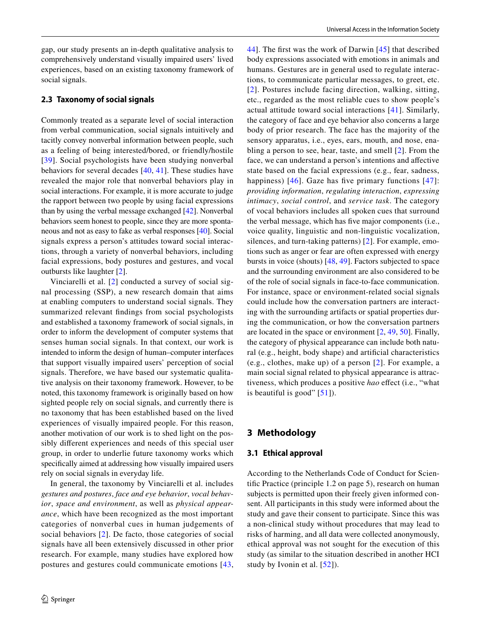gap, our study presents an in-depth qualitative analysis to comprehensively understand visually impaired users' lived experiences, based on an existing taxonomy framework of social signals.

## **2.3 Taxonomy of social signals**

Commonly treated as a separate level of social interaction from verbal communication, social signals intuitively and tacitly convey nonverbal information between people, such as a feeling of being interested/bored, or friendly/hostile [[39\]](#page-16-28). Social psychologists have been studying nonverbal behaviors for several decades [[40,](#page-16-29) [41](#page-16-30)]. These studies have revealed the major role that nonverbal behaviors play in social interactions. For example, it is more accurate to judge the rapport between two people by using facial expressions than by using the verbal message exchanged [[42\]](#page-16-31). Nonverbal behaviors seem honest to people, since they are more spontaneous and not as easy to fake as verbal responses [[40\]](#page-16-29). Social signals express a person's attitudes toward social interactions, through a variety of nonverbal behaviors, including facial expressions, body postures and gestures, and vocal outbursts like laughter [[2](#page-15-1)].

Vinciarelli et al. [[2\]](#page-15-1) conducted a survey of social signal processing (SSP), a new research domain that aims at enabling computers to understand social signals. They summarized relevant fndings from social psychologists and established a taxonomy framework of social signals, in order to inform the development of computer systems that senses human social signals. In that context, our work is intended to inform the design of human–computer interfaces that support visually impaired users' perception of social signals. Therefore, we have based our systematic qualitative analysis on their taxonomy framework. However, to be noted, this taxonomy framework is originally based on how sighted people rely on social signals, and currently there is no taxonomy that has been established based on the lived experiences of visually impaired people. For this reason, another motivation of our work is to shed light on the possibly diferent experiences and needs of this special user group, in order to underlie future taxonomy works which specifcally aimed at addressing how visually impaired users rely on social signals in everyday life.

In general, the taxonomy by Vinciarelli et al. includes *gestures and postures*, *face and eye behavior*, *vocal behavior*, *space and environment*, as well as *physical appearance*, which have been recognized as the most important categories of nonverbal cues in human judgements of social behaviors [[2\]](#page-15-1). De facto, those categories of social signals have all been extensively discussed in other prior research. For example, many studies have explored how postures and gestures could communicate emotions [[43,](#page-16-32) [44\]](#page-16-33). The frst was the work of Darwin [\[45\]](#page-16-34) that described body expressions associated with emotions in animals and humans. Gestures are in general used to regulate interactions, to communicate particular messages, to greet, etc. [[2](#page-15-1)]. Postures include facing direction, walking, sitting, etc., regarded as the most reliable cues to show people's actual attitude toward social interactions [[41](#page-16-30)]. Similarly, the category of face and eye behavior also concerns a large body of prior research. The face has the majority of the sensory apparatus, i.e., eyes, ears, mouth, and nose, enabling a person to see, hear, taste, and smell [\[2\]](#page-15-1). From the face, we can understand a person's intentions and afective state based on the facial expressions (e.g., fear, sadness, happiness)  $[46]$  $[46]$ . Gaze has five primary functions  $[47]$  $[47]$ : *providing information*, *regulating interaction*, *expressing intimacy*, *social control*, and *service task*. The category of vocal behaviors includes all spoken cues that surround the verbal message, which has fve major components (i.e., voice quality, linguistic and non-linguistic vocalization, silences, and turn-taking patterns) [[2](#page-15-1)]. For example, emotions such as anger or fear are often expressed with energy bursts in voice (shouts) [\[48,](#page-17-2) [49\]](#page-17-3). Factors subjected to space and the surrounding environment are also considered to be of the role of social signals in face-to-face communication. For instance, space or environment-related social signals could include how the conversation partners are interacting with the surrounding artifacts or spatial properties during the communication, or how the conversation partners are located in the space or environment [\[2](#page-15-1), [49](#page-17-3), [50](#page-17-4)]. Finally, the category of physical appearance can include both natural (e.g., height, body shape) and artifcial characteristics (e.g., clothes, make up) of a person [[2\]](#page-15-1). For example, a main social signal related to physical appearance is attractiveness, which produces a positive *hao* efect (i.e., "what is beautiful is good"  $[51]$  $[51]$  $[51]$ ).

# **3 Methodology**

### **3.1 Ethical approval**

According to the Netherlands Code of Conduct for Scientifc Practice (principle 1.2 on page 5), research on human subjects is permitted upon their freely given informed consent. All participants in this study were informed about the study and gave their consent to participate. Since this was a non-clinical study without procedures that may lead to risks of harming, and all data were collected anonymously, ethical approval was not sought for the execution of this study (as similar to the situation described in another HCI study by Ivonin et al. [[52](#page-17-6)]).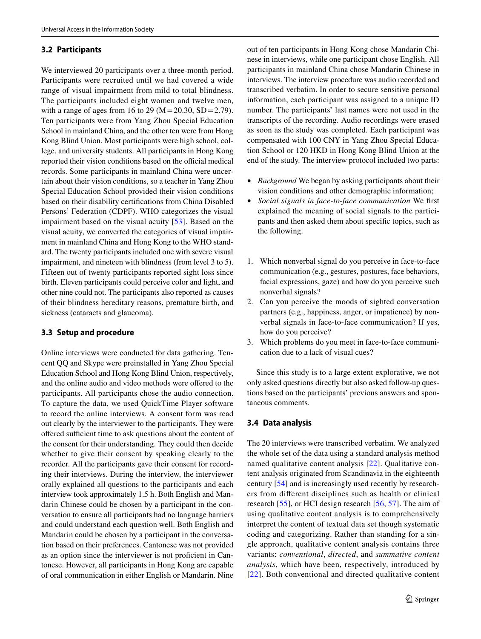# **3.2 Participants**

We interviewed 20 participants over a three-month period. Participants were recruited until we had covered a wide range of visual impairment from mild to total blindness. The participants included eight women and twelve men, with a range of ages from 16 to 29 ( $M = 20.30$ ,  $SD = 2.79$ ). Ten participants were from Yang Zhou Special Education School in mainland China, and the other ten were from Hong Kong Blind Union. Most participants were high school, college, and university students. All participants in Hong Kong reported their vision conditions based on the official medical records. Some participants in mainland China were uncertain about their vision conditions, so a teacher in Yang Zhou Special Education School provided their vision conditions based on their disability certifcations from China Disabled Persons' Federation (CDPF). WHO categorizes the visual impairment based on the visual acuity [[53](#page-17-7)]. Based on the visual acuity, we converted the categories of visual impairment in mainland China and Hong Kong to the WHO standard. The twenty participants included one with severe visual impairment, and nineteen with blindness (from level 3 to 5). Fifteen out of twenty participants reported sight loss since birth. Eleven participants could perceive color and light, and other nine could not. The participants also reported as causes of their blindness hereditary reasons, premature birth, and sickness (cataracts and glaucoma).

# **3.3 Setup and procedure**

Online interviews were conducted for data gathering. Tencent QQ and Skype were preinstalled in Yang Zhou Special Education School and Hong Kong Blind Union, respectively, and the online audio and video methods were offered to the participants. All participants chose the audio connection. To capture the data, we used QuickTime Player software to record the online interviews. A consent form was read out clearly by the interviewer to the participants. They were offered sufficient time to ask questions about the content of the consent for their understanding. They could then decide whether to give their consent by speaking clearly to the recorder. All the participants gave their consent for recording their interviews. During the interview, the interviewer orally explained all questions to the participants and each interview took approximately 1.5 h. Both English and Mandarin Chinese could be chosen by a participant in the conversation to ensure all participants had no language barriers and could understand each question well. Both English and Mandarin could be chosen by a participant in the conversation based on their preferences. Cantonese was not provided as an option since the interviewer is not profcient in Cantonese. However, all participants in Hong Kong are capable of oral communication in either English or Mandarin. Nine out of ten participants in Hong Kong chose Mandarin Chinese in interviews, while one participant chose English. All participants in mainland China chose Mandarin Chinese in interviews. The interview procedure was audio recorded and transcribed verbatim. In order to secure sensitive personal information, each participant was assigned to a unique ID number. The participants' last names were not used in the transcripts of the recording. Audio recordings were erased as soon as the study was completed. Each participant was compensated with 100 CNY in Yang Zhou Special Education School or 120 HKD in Hong Kong Blind Union at the end of the study. The interview protocol included two parts:

- *Background* We began by asking participants about their vision conditions and other demographic information;
- *Social signals in face*-*to*-*face communication* We frst explained the meaning of social signals to the participants and then asked them about specifc topics, such as the following.
- 1. Which nonverbal signal do you perceive in face-to-face communication (e.g., gestures, postures, face behaviors, facial expressions, gaze) and how do you perceive such nonverbal signals?
- 2. Can you perceive the moods of sighted conversation partners (e.g., happiness, anger, or impatience) by nonverbal signals in face-to-face communication? If yes, how do you perceive?
- 3. Which problems do you meet in face-to-face communication due to a lack of visual cues?

Since this study is to a large extent explorative, we not only asked questions directly but also asked follow-up questions based on the participants' previous answers and spontaneous comments.

# **3.4 Data analysis**

The 20 interviews were transcribed verbatim. We analyzed the whole set of the data using a standard analysis method named qualitative content analysis [[22](#page-16-12)]. Qualitative content analysis originated from Scandinavia in the eighteenth century [[54](#page-17-8)] and is increasingly used recently by researchers from diferent disciplines such as health or clinical research [\[55\]](#page-17-9), or HCI design research [[56,](#page-17-10) [57](#page-17-11)]. The aim of using qualitative content analysis is to comprehensively interpret the content of textual data set though systematic coding and categorizing. Rather than standing for a single approach, qualitative content analysis contains three variants: *conventional*, *directed*, and *summative content analysis*, which have been, respectively, introduced by [[22](#page-16-12)]. Both conventional and directed qualitative content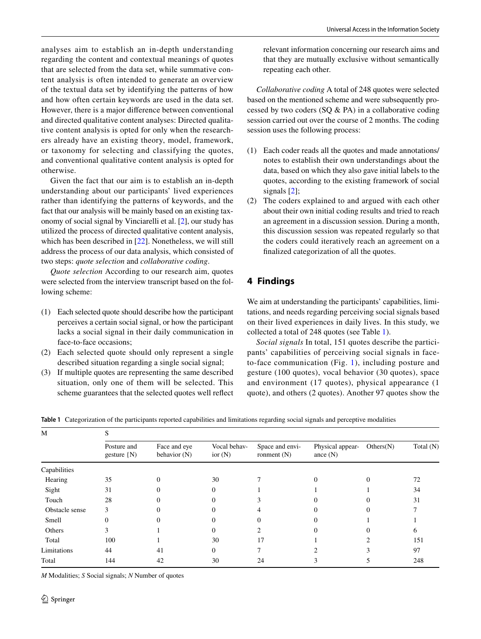analyses aim to establish an in-depth understanding regarding the content and contextual meanings of quotes that are selected from the data set, while summative content analysis is often intended to generate an overview of the textual data set by identifying the patterns of how and how often certain keywords are used in the data set. However, there is a major diference between conventional and directed qualitative content analyses: Directed qualitative content analysis is opted for only when the researchers already have an existing theory, model, framework, or taxonomy for selecting and classifying the quotes, and conventional qualitative content analysis is opted for otherwise.

Given the fact that our aim is to establish an in-depth understanding about our participants' lived experiences rather than identifying the patterns of keywords, and the fact that our analysis will be mainly based on an existing taxonomy of social signal by Vinciarelli et al. [[2\]](#page-15-1), our study has utilized the process of directed qualitative content analysis, which has been described in [[22\]](#page-16-12). Nonetheless, we will still address the process of our data analysis, which consisted of two steps: *quote selection* and *collaborative coding*.

*Quote selection* According to our research aim, quotes were selected from the interview transcript based on the following scheme:

- (1) Each selected quote should describe how the participant perceives a certain social signal, or how the participant lacks a social signal in their daily communication in face-to-face occasions;
- (2) Each selected quote should only represent a single described situation regarding a single social signal;
- (3) If multiple quotes are representing the same described situation, only one of them will be selected. This scheme guarantees that the selected quotes well refect

relevant information concerning our research aims and that they are mutually exclusive without semantically repeating each other.

*Collaborative coding* A total of 248 quotes were selected based on the mentioned scheme and were subsequently processed by two coders (SQ & PA) in a collaborative coding session carried out over the course of 2 months. The coding session uses the following process:

- (1) Each coder reads all the quotes and made annotations/ notes to establish their own understandings about the data, based on which they also gave initial labels to the quotes, according to the existing framework of social signals [\[2](#page-15-1)];
- (2) The coders explained to and argued with each other about their own initial coding results and tried to reach an agreement in a discussion session. During a month, this discussion session was repeated regularly so that the coders could iteratively reach an agreement on a fnalized categorization of all the quotes.

# **4 Findings**

We aim at understanding the participants' capabilities, limitations, and needs regarding perceiving social signals based on their lived experiences in daily lives. In this study, we collected a total of 248 quotes (see Table [1](#page-5-0)).

*Social signals* In total, 151 quotes describe the participants' capabilities of perceiving social signals in faceto-face communication (Fig. [1\)](#page-6-0), including posture and gesture (100 quotes), vocal behavior (30 quotes), space and environment (17 quotes), physical appearance (1 quote), and others (2 quotes). Another 97 quotes show the

<span id="page-5-0"></span>**Table 1** Categorization of the participants reported capabilities and limitations regarding social signals and perceptive modalities

| M              |                                |                              |                           |                                  |                                |           |           |
|----------------|--------------------------------|------------------------------|---------------------------|----------------------------------|--------------------------------|-----------|-----------|
|                | Posture and<br>gesture $\{N\}$ | Face and eye<br>behavior (N) | Vocal behav-<br>ior $(N)$ | Space and envi-<br>ronment $(N)$ | Physical appear-<br>ance $(N)$ | Others(N) | Total (N) |
| Capabilities   |                                |                              |                           |                                  |                                |           |           |
| Hearing        | 35                             | 0                            | 30                        |                                  | $\Omega$                       | $\Omega$  | 72        |
| Sight          | 31                             |                              | 0                         |                                  |                                |           | 34        |
| Touch          | 28                             |                              | 0                         |                                  |                                |           | 31        |
| Obstacle sense | 3                              |                              | 0                         |                                  |                                |           |           |
| Smell          | $\Omega$                       |                              | 0                         | 0                                | 0                              |           |           |
| Others         | 3                              |                              | 0                         |                                  |                                |           | 6         |
| Total          | 100                            |                              | 30                        | 17                               |                                |           | 151       |
| Limitations    | 44                             | 41                           | $\Omega$                  |                                  |                                |           | 97        |
| Total          | 144                            | 42                           | 30                        | 24                               |                                |           | 248       |

*M* Modalities; *S* Social signals; *N* Number of quotes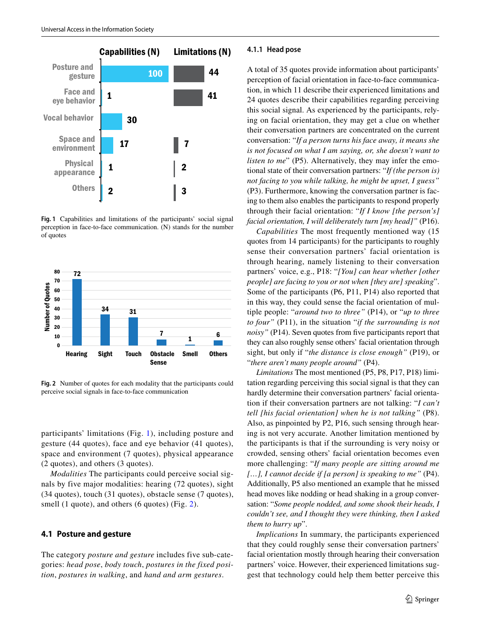

<span id="page-6-0"></span>**Fig. 1** Capabilities and limitations of the participants' social signal perception in face-to-face communication. (N) stands for the number of quotes



<span id="page-6-1"></span>**Fig. 2** Number of quotes for each modality that the participants could perceive social signals in face-to-face communication

participants' limitations (Fig. [1](#page-6-0)), including posture and gesture (44 quotes), face and eye behavior (41 quotes), space and environment (7 quotes), physical appearance (2 quotes), and others (3 quotes).

*Modalities* The participants could perceive social signals by five major modalities: hearing (72 quotes), sight (34 quotes), touch (31 quotes), obstacle sense (7 quotes), smell (1 quote), and others (6 quotes) (Fig. [2\)](#page-6-1).

# **4.1 Posture and gesture**

The category *posture and gesture* includes five sub-categories: *head pose*, *body touch*, *postures in the fixed position*, *postures in walking*, and *hand and arm gestures*.

#### **4.1.1 Head pose**

A total of 35 quotes provide information about participants' perception of facial orientation in face-to-face communication, in which 11 describe their experienced limitations and 24 quotes describe their capabilities regarding perceiving this social signal. As experienced by the participants, relying on facial orientation, they may get a clue on whether their conversation partners are concentrated on the current conversation: "*If a person turns his face away, it means she is not focused on what I am saying, or, she doesn't want to listen to me*" (P5). Alternatively, they may infer the emotional state of their conversation partners: "*If (the person is) not facing to you while talking, he might be upset, I guess"* (P3). Furthermore, knowing the conversation partner is facing to them also enables the participants to respond properly through their facial orientation: "*If I know [the person's] facial orientation, I will deliberately turn [my head]"* (P16).

*Capabilities* The most frequently mentioned way (15 quotes from 14 participants) for the participants to roughly sense their conversation partners' facial orientation is through hearing, namely listening to their conversation partners' voice, e.g., P18: "*[You] can hear whether [other people] are facing to you or not when [they are] speaking*". Some of the participants (P6, P11, P14) also reported that in this way, they could sense the facial orientation of multiple people: "*around two to three"* (P14), or "*up to three to four"* (P11), in the situation "*if the surrounding is not noisy"* (P14). Seven quotes from five participants report that they can also roughly sense others' facial orientation through sight, but only if "*the distance is close enough"* (P19), or "*there aren't many people around"* (P4).

*Limitations* The most mentioned (P5, P8, P17, P18) limitation regarding perceiving this social signal is that they can hardly determine their conversation partners' facial orientation if their conversation partners are not talking: "*I can't tell [his facial orientation] when he is not talking"* (P8). Also, as pinpointed by P2, P16, such sensing through hearing is not very accurate. Another limitation mentioned by the participants is that if the surrounding is very noisy or crowded, sensing others' facial orientation becomes even more challenging: "*If many people are sitting around me […], I cannot decide if [a person] is speaking to me"* (P4). Additionally, P5 also mentioned an example that he missed head moves like nodding or head shaking in a group conversation: "*Some people nodded, and some shook their heads, I couldn't see, and I thought they were thinking, then I asked them to hurry up*".

*Implications* In summary, the participants experienced that they could roughly sense their conversation partners' facial orientation mostly through hearing their conversation partners' voice. However, their experienced limitations suggest that technology could help them better perceive this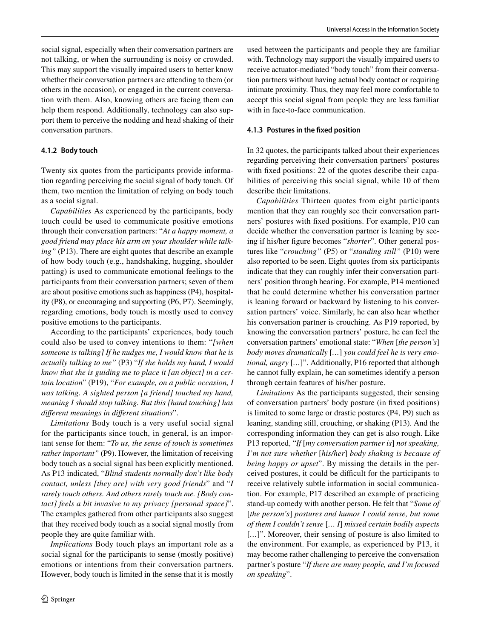social signal, especially when their conversation partners are not talking, or when the surrounding is noisy or crowded. This may support the visually impaired users to better know whether their conversation partners are attending to them (or others in the occasion), or engaged in the current conversation with them. Also, knowing others are facing them can help them respond. Additionally, technology can also support them to perceive the nodding and head shaking of their conversation partners.

#### **4.1.2 Body touch**

Twenty six quotes from the participants provide information regarding perceiving the social signal of body touch. Of them, two mention the limitation of relying on body touch as a social signal.

*Capabilities* As experienced by the participants, body touch could be used to communicate positive emotions through their conversation partners: "*At a happy moment, a good friend may place his arm on your shoulder while talking"* (P13). There are eight quotes that describe an example of how body touch (e.g., handshaking, hugging, shoulder patting) is used to communicate emotional feelings to the participants from their conversation partners; seven of them are about positive emotions such as happiness (P4), hospitality (P8), or encouraging and supporting (P6, P7). Seemingly, regarding emotions, body touch is mostly used to convey positive emotions to the participants.

According to the participants' experiences, body touch could also be used to convey intentions to them: "*[when someone is talking] If he nudges me, I would know that he is actually talking to me"* (P3) "*If she holds my hand, I would know that she is guiding me to place it [an object] in a certain location*" (P19), "*For example, on a public occasion, I was talking. A sighted person [a friend] touched my hand, meaning I should stop talking. But this [hand touching] has diferent meanings in diferent situations*".

*Limitations* Body touch is a very useful social signal for the participants since touch, in general, is an important sense for them: "*To us, the sense of touch is sometimes rather important"* (P9). However, the limitation of receiving body touch as a social signal has been explicitly mentioned. As P13 indicated, "*Blind students normally don't like body contact, unless [they are] with very good friends*" and "*I rarely touch others. And others rarely touch me. [Body contact] feels a bit invasive to my privacy [personal space]*". The examples gathered from other participants also suggest that they received body touch as a social signal mostly from people they are quite familiar with.

*Implications* Body touch plays an important role as a social signal for the participants to sense (mostly positive) emotions or intentions from their conversation partners. However, body touch is limited in the sense that it is mostly used between the participants and people they are familiar with. Technology may support the visually impaired users to receive actuator-mediated "body touch" from their conversation partners without having actual body contact or requiring intimate proximity. Thus, they may feel more comfortable to accept this social signal from people they are less familiar with in face-to-face communication.

#### **4.1.3 Postures in the fxed position**

In 32 quotes, the participants talked about their experiences regarding perceiving their conversation partners' postures with fixed positions: 22 of the quotes describe their capabilities of perceiving this social signal, while 10 of them describe their limitations.

*Capabilities* Thirteen quotes from eight participants mention that they can roughly see their conversation partners' postures with fxed positions. For example, P10 can decide whether the conversation partner is leaning by seeing if his/her fgure becomes "*shorter*". Other general postures like "*crouching"* (P5) or "*standing still"* (P10) were also reported to be seen. Eight quotes from six participants indicate that they can roughly infer their conversation partners' position through hearing. For example, P14 mentioned that he could determine whether his conversation partner is leaning forward or backward by listening to his conversation partners' voice. Similarly, he can also hear whether his conversation partner is crouching. As P19 reported, by knowing the conversation partners' posture, he can feel the conversation partners' emotional state: "*When* [*the person's*] *body moves dramatically* [*…*] *you could feel he is very emotional, angry* [*…*]". Additionally, P16 reported that although he cannot fully explain, he can sometimes identify a person through certain features of his/her posture.

*Limitations* As the participants suggested, their sensing of conversation partners' body posture (in fxed positions) is limited to some large or drastic postures (P4, P9) such as leaning, standing still, crouching, or shaking (P13). And the corresponding information they can get is also rough. Like P13 reported, "*If* [*my conversation partner is*] *not speaking, I'm not sure whether* [*his/her*] *body shaking is because of being happy or upset*". By missing the details in the perceived postures, it could be difficult for the participants to receive relatively subtle information in social communication. For example, P17 described an example of practicing stand-up comedy with another person. He felt that "*Some of* [*the person's*] *postures and humor I could sense, but some of them I couldn't sense* [*… I*] *missed certain bodily aspects* [...]". Moreover, their sensing of posture is also limited to the environment. For example, as experienced by P13, it may become rather challenging to perceive the conversation partner's posture "*If there are many people, and I'm focused on speaking*".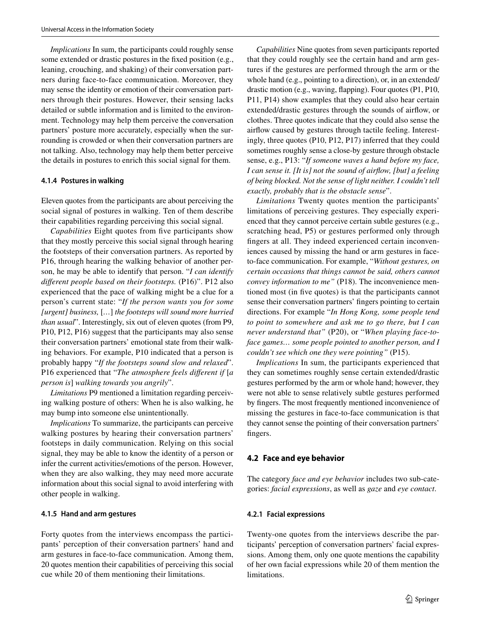*Implications* In sum, the participants could roughly sense some extended or drastic postures in the fxed position (e.g., leaning, crouching, and shaking) of their conversation partners during face-to-face communication. Moreover, they may sense the identity or emotion of their conversation partners through their postures. However, their sensing lacks detailed or subtle information and is limited to the environment. Technology may help them perceive the conversation partners' posture more accurately, especially when the surrounding is crowded or when their conversation partners are not talking. Also, technology may help them better perceive the details in postures to enrich this social signal for them.

#### **4.1.4 Postures in walking**

Eleven quotes from the participants are about perceiving the social signal of postures in walking. Ten of them describe their capabilities regarding perceiving this social signal.

*Capabilities* Eight quotes from five participants show that they mostly perceive this social signal through hearing the footsteps of their conversation partners. As reported by P16, through hearing the walking behavior of another person, he may be able to identify that person. "*I can identify diferent people based on their footsteps.* (P16)". P12 also experienced that the pace of walking might be a clue for a person's current state: "*If the person wants you for some [urgent] business,* [*…*] *the footsteps will sound more hurried than usual*". Interestingly, six out of eleven quotes (from P9, P10, P12, P16) suggest that the participants may also sense their conversation partners' emotional state from their walking behaviors. For example, P10 indicated that a person is probably happy "*If the footsteps sound slow and relaxed*". P16 experienced that "*The atmosphere feels diferent if* [*a person is*] *walking towards you angrily*".

*Limitations* P9 mentioned a limitation regarding perceiving walking posture of others: When he is also walking, he may bump into someone else unintentionally.

*Implications* To summarize, the participants can perceive walking postures by hearing their conversation partners' footsteps in daily communication. Relying on this social signal, they may be able to know the identity of a person or infer the current activities/emotions of the person. However, when they are also walking, they may need more accurate information about this social signal to avoid interfering with other people in walking.

#### **4.1.5 Hand and arm gestures**

Forty quotes from the interviews encompass the participants' perception of their conversation partners' hand and arm gestures in face-to-face communication. Among them, 20 quotes mention their capabilities of perceiving this social cue while 20 of them mentioning their limitations.

*Capabilities* Nine quotes from seven participants reported that they could roughly see the certain hand and arm gestures if the gestures are performed through the arm or the whole hand (e.g., pointing to a direction), or, in an extended/ drastic motion (e.g., waving, fapping). Four quotes (P1, P10, P11, P14) show examples that they could also hear certain extended/drastic gestures through the sounds of airfow, or clothes. Three quotes indicate that they could also sense the airfow caused by gestures through tactile feeling. Interestingly, three quotes (P10, P12, P17) inferred that they could sometimes roughly sense a close-by gesture through obstacle sense, e.g., P13: "*If someone waves a hand before my face, I can sense it. [It is] not the sound of airfow, [but] a feeling of being blocked. Not the sense of light neither. I couldn't tell exactly, probably that is the obstacle sense*".

*Limitations* Twenty quotes mention the participants' limitations of perceiving gestures. They especially experienced that they cannot perceive certain subtle gestures (e.g., scratching head, P5) or gestures performed only through fngers at all. They indeed experienced certain inconveniences caused by missing the hand or arm gestures in faceto-face communication. For example, "*Without gestures, on certain occasions that things cannot be said, others cannot convey information to me"* (P18). The inconvenience mentioned most (in fve quotes) is that the participants cannot sense their conversation partners' fngers pointing to certain directions. For example "*In Hong Kong, some people tend to point to somewhere and ask me to go there, but I can never understand that"* (P20), or "*When playing face*-*toface games… some people pointed to another person, and I couldn't see which one they were pointing"* (P15).

*Implications* In sum, the participants experienced that they can sometimes roughly sense certain extended/drastic gestures performed by the arm or whole hand; however, they were not able to sense relatively subtle gestures performed by fngers. The most frequently mentioned inconvenience of missing the gestures in face-to-face communication is that they cannot sense the pointing of their conversation partners' fngers.

### **4.2 Face and eye behavior**

The category *face and eye behavior* includes two sub-categories: *facial expressions*, as well as *gaze* and *eye contact*.

#### **4.2.1 Facial expressions**

Twenty-one quotes from the interviews describe the participants' perception of conversation partners' facial expressions. Among them, only one quote mentions the capability of her own facial expressions while 20 of them mention the limitations.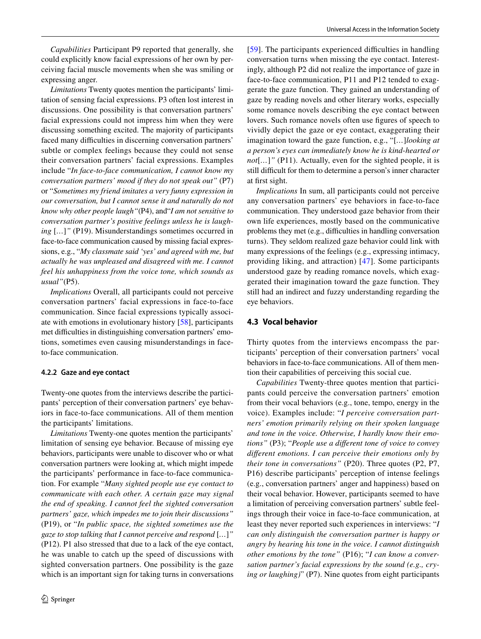*Capabilities* Participant P9 reported that generally, she could explicitly know facial expressions of her own by perceiving facial muscle movements when she was smiling or expressing anger.

*Limitations* Twenty quotes mention the participants' limitation of sensing facial expressions. P3 often lost interest in discussions. One possibility is that conversation partners' facial expressions could not impress him when they were discussing something excited. The majority of participants faced many difficulties in discerning conversation partners' subtle or complex feelings because they could not sense their conversation partners' facial expressions. Examples include "*In face*-*to*-*face communication, I cannot know my conversation partners' mood if they do not speak out"* (P7) or "*Sometimes my friend imitates a very funny expression in our conversation, but I cannot sense it and naturally do not know why other people laugh"*(P4), and"*I am not sensitive to conversation partner's positive feelings unless he is laughing* [*…*]*"* (P19). Misunderstandings sometimes occurred in face-to-face communication caused by missing facial expressions, e.g., "*My classmate said 'yes' and agreed with me, but actually he was unpleased and disagreed with me. I cannot feel his unhappiness from the voice tone, which sounds as usual"*(P5).

*Implications* Overall, all participants could not perceive conversation partners' facial expressions in face-to-face communication. Since facial expressions typically associate with emotions in evolutionary history [\[58](#page-17-12)], participants met difficulties in distinguishing conversation partners' emotions, sometimes even causing misunderstandings in faceto-face communication.

### **4.2.2 Gaze and eye contact**

Twenty-one quotes from the interviews describe the participants' perception of their conversation partners' eye behaviors in face-to-face communications. All of them mention the participants' limitations.

*Limitations* Twenty-one quotes mention the participants' limitation of sensing eye behavior. Because of missing eye behaviors, participants were unable to discover who or what conversation partners were looking at, which might impede the participants' performance in face-to-face communication. For example "*Many sighted people use eye contact to communicate with each other. A certain gaze may signal the end of speaking. I cannot feel the sighted conversation partners' gaze, which impedes me to join their discussions"* (P19), or "*In public space, the sighted sometimes use the gaze to stop talking that I cannot perceive and respond* [*…*]*"* (P12). P1 also stressed that due to a lack of the eye contact, he was unable to catch up the speed of discussions with sighted conversation partners. One possibility is the gaze which is an important sign for taking turns in conversations [[59\]](#page-17-13). The participants experienced difficulties in handling conversation turns when missing the eye contact. Interestingly, although P2 did not realize the importance of gaze in face-to-face communication, P11 and P12 tended to exaggerate the gaze function. They gained an understanding of gaze by reading novels and other literary works, especially some romance novels describing the eye contact between lovers. Such romance novels often use fgures of speech to vividly depict the gaze or eye contact, exaggerating their imagination toward the gaze function, e.g., "[*…*]*looking at a person's eyes can immediately know he is kind*-*hearted or not*[*…*]*"* (P11). Actually, even for the sighted people, it is still difficult for them to determine a person's inner character at frst sight.

*Implications* In sum, all participants could not perceive any conversation partners' eye behaviors in face-to-face communication. They understood gaze behavior from their own life experiences, mostly based on the communicative problems they met (e.g., difficulties in handling conversation turns). They seldom realized gaze behavior could link with many expressions of the feelings (e.g., expressing intimacy, providing liking, and attraction) [[47\]](#page-17-1). Some participants understood gaze by reading romance novels, which exaggerated their imagination toward the gaze function. They still had an indirect and fuzzy understanding regarding the eye behaviors.

## **4.3 Vocal behavior**

Thirty quotes from the interviews encompass the participants' perception of their conversation partners' vocal behaviors in face-to-face communications. All of them mention their capabilities of perceiving this social cue.

*Capabilities* Twenty-three quotes mention that participants could perceive the conversation partners' emotion from their vocal behaviors (e.g., tone, tempo, energy in the voice). Examples include: "*I perceive conversation partners' emotion primarily relying on their spoken language and tone in the voice. Otherwise, I hardly know their emotions"* (P3); "*People use a diferent tone of voice to convey diferent emotions. I can perceive their emotions only by their tone in conversations"* (P20). Three quotes (P2, P7, P16) describe participants' perception of intense feelings (e.g., conversation partners' anger and happiness) based on their vocal behavior. However, participants seemed to have a limitation of perceiving conversation partners' subtle feelings through their voice in face-to-face communication, at least they never reported such experiences in interviews: "*I can only distinguish the conversation partner is happy or angry by hearing his tone in the voice. I cannot distinguish other emotions by the tone"* (P16); "*I can know a conversation partner's facial expressions by the sound (e.g., crying or laughing)*" (P7). Nine quotes from eight participants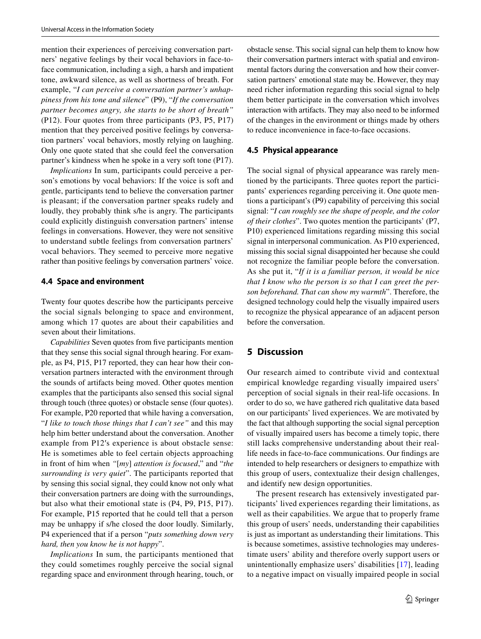mention their experiences of perceiving conversation partners' negative feelings by their vocal behaviors in face-toface communication, including a sigh, a harsh and impatient tone, awkward silence, as well as shortness of breath. For example, "*I can perceive a conversation partner's unhappiness from his tone and silence*" (P9), "*If the conversation partner becomes angry, she starts to be short of breath"* (P12). Four quotes from three participants (P3, P5, P17) mention that they perceived positive feelings by conversation partners' vocal behaviors, mostly relying on laughing. Only one quote stated that she could feel the conversation partner's kindness when he spoke in a very soft tone (P17).

*Implications* In sum, participants could perceive a person's emotions by vocal behaviors: If the voice is soft and gentle, participants tend to believe the conversation partner is pleasant; if the conversation partner speaks rudely and loudly, they probably think s/he is angry. The participants could explicitly distinguish conversation partners' intense feelings in conversations. However, they were not sensitive to understand subtle feelings from conversation partners' vocal behaviors. They seemed to perceive more negative rather than positive feelings by conversation partners' voice.

# **4.4 Space and environment**

Twenty four quotes describe how the participants perceive the social signals belonging to space and environment, among which 17 quotes are about their capabilities and seven about their limitations.

*Capabilities* Seven quotes from five participants mention that they sense this social signal through hearing. For example, as P4, P15, P17 reported, they can hear how their conversation partners interacted with the environment through the sounds of artifacts being moved. Other quotes mention examples that the participants also sensed this social signal through touch (three quotes) or obstacle sense (four quotes). For example, P20 reported that while having a conversation, "*I like to touch those things that I can't see"* and this may help him better understand about the conversation. Another example from P12′s experience is about obstacle sense: He is sometimes able to feel certain objects approaching in front of him when *"*[*my*] *attention is focused*," and "*the surrounding is very quiet*". The participants reported that by sensing this social signal, they could know not only what their conversation partners are doing with the surroundings, but also what their emotional state is (P4, P9, P15, P17). For example, P15 reported that he could tell that a person may be unhappy if s/he closed the door loudly. Similarly, P4 experienced that if a person "*puts something down very hard, then you know he is not happy*".

*Implications* In sum, the participants mentioned that they could sometimes roughly perceive the social signal regarding space and environment through hearing, touch, or obstacle sense. This social signal can help them to know how their conversation partners interact with spatial and environmental factors during the conversation and how their conversation partners' emotional state may be. However, they may need richer information regarding this social signal to help them better participate in the conversation which involves interaction with artifacts. They may also need to be informed of the changes in the environment or things made by others to reduce inconvenience in face-to-face occasions.

#### **4.5 Physical appearance**

The social signal of physical appearance was rarely mentioned by the participants. Three quotes report the participants' experiences regarding perceiving it. One quote mentions a participant's (P9) capability of perceiving this social signal: "*I can roughly see the shape of people, and the color of their clothes*". Two quotes mention the participants' (P7, P10) experienced limitations regarding missing this social signal in interpersonal communication. As P10 experienced, missing this social signal disappointed her because she could not recognize the familiar people before the conversation. As she put it, "*If it is a familiar person, it would be nice that I know who the person is so that I can greet the person beforehand. That can show my warmth*". Therefore, the designed technology could help the visually impaired users to recognize the physical appearance of an adjacent person before the conversation.

# **5 Discussion**

Our research aimed to contribute vivid and contextual empirical knowledge regarding visually impaired users' perception of social signals in their real-life occasions. In order to do so, we have gathered rich qualitative data based on our participants' lived experiences. We are motivated by the fact that although supporting the social signal perception of visually impaired users has become a timely topic, there still lacks comprehensive understanding about their reallife needs in face-to-face communications. Our fndings are intended to help researchers or designers to empathize with this group of users, contextualize their design challenges, and identify new design opportunities.

The present research has extensively investigated participants' lived experiences regarding their limitations, as well as their capabilities. We argue that to properly frame this group of users' needs, understanding their capabilities is just as important as understanding their limitations. This is because sometimes, assistive technologies may underestimate users' ability and therefore overly support users or unintentionally emphasize users' disabilities [[17](#page-16-7)], leading to a negative impact on visually impaired people in social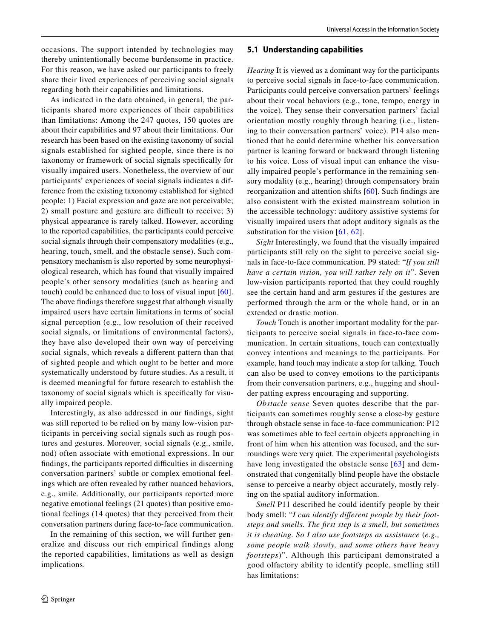As indicated in the data obtained, in general, the participants shared more experiences of their capabilities than limitations: Among the 247 quotes, 150 quotes are about their capabilities and 97 about their limitations. Our research has been based on the existing taxonomy of social signals established for sighted people, since there is no taxonomy or framework of social signals specifcally for visually impaired users. Nonetheless, the overview of our participants' experiences of social signals indicates a difference from the existing taxonomy established for sighted people: 1) Facial expression and gaze are not perceivable; 2) small posture and gesture are difficult to receive;  $3$ ) physical appearance is rarely talked. However, according to the reported capabilities, the participants could perceive social signals through their compensatory modalities (e.g., hearing, touch, smell, and the obstacle sense). Such compensatory mechanism is also reported by some neurophysiological research, which has found that visually impaired people's other sensory modalities (such as hearing and touch) could be enhanced due to loss of visual input [[60](#page-17-14)]. The above fndings therefore suggest that although visually impaired users have certain limitations in terms of social signal perception (e.g., low resolution of their received social signals, or limitations of environmental factors), they have also developed their own way of perceiving social signals, which reveals a diferent pattern than that of sighted people and which ought to be better and more systematically understood by future studies. As a result, it is deemed meaningful for future research to establish the taxonomy of social signals which is specifcally for visually impaired people.

Interestingly, as also addressed in our fndings, sight was still reported to be relied on by many low-vision participants in perceiving social signals such as rough postures and gestures. Moreover, social signals (e.g., smile, nod) often associate with emotional expressions. In our findings, the participants reported difficulties in discerning conversation partners' subtle or complex emotional feelings which are often revealed by rather nuanced behaviors, e.g., smile. Additionally, our participants reported more negative emotional feelings (21 quotes) than positive emotional feelings (14 quotes) that they perceived from their conversation partners during face-to-face communication.

In the remaining of this section, we will further generalize and discuss our rich empirical findings along the reported capabilities, limitations as well as design implications.

# **5.1 Understanding capabilities**

*Hearing* It is viewed as a dominant way for the participants to perceive social signals in face-to-face communication. Participants could perceive conversation partners' feelings about their vocal behaviors (e.g., tone, tempo, energy in the voice). They sense their conversation partners' facial orientation mostly roughly through hearing (i.e., listening to their conversation partners' voice). P14 also mentioned that he could determine whether his conversation partner is leaning forward or backward through listening to his voice. Loss of visual input can enhance the visually impaired people's performance in the remaining sensory modality (e.g., hearing) through compensatory brain reorganization and attention shifts [[60](#page-17-14)]. Such fndings are also consistent with the existed mainstream solution in the accessible technology: auditory assistive systems for visually impaired users that adopt auditory signals as the substitution for the vision  $[61, 62]$  $[61, 62]$  $[61, 62]$  $[61, 62]$  $[61, 62]$ .

*Sight* Interestingly, we found that the visually impaired participants still rely on the sight to perceive social signals in face-to-face communication. P9 stated: "*If you still have a certain vision, you will rather rely on it*". Seven low-vision participants reported that they could roughly see the certain hand and arm gestures if the gestures are performed through the arm or the whole hand, or in an extended or drastic motion.

*Touch* Touch is another important modality for the participants to perceive social signals in face-to-face communication. In certain situations, touch can contextually convey intentions and meanings to the participants. For example, hand touch may indicate a stop for talking. Touch can also be used to convey emotions to the participants from their conversation partners, e.g., hugging and shoulder patting express encouraging and supporting.

*Obstacle sense* Seven quotes describe that the participants can sometimes roughly sense a close-by gesture through obstacle sense in face-to-face communication: P12 was sometimes able to feel certain objects approaching in front of him when his attention was focused, and the surroundings were very quiet. The experimental psychologists have long investigated the obstacle sense [[63](#page-17-17)] and demonstrated that congenitally blind people have the obstacle sense to perceive a nearby object accurately, mostly relying on the spatial auditory information.

*Smell* P11 described he could identify people by their body smell: "*I can identify diferent people by their footsteps and smells. The frst step is a smell, but sometimes it is cheating. So I also use footsteps as assistance* (*e.g., some people walk slowly, and some others have heavy footsteps*)". Although this participant demonstrated a good olfactory ability to identify people, smelling still has limitations: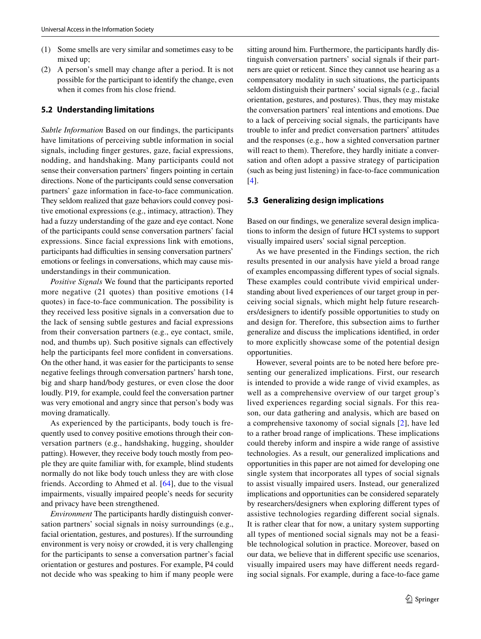- (1) Some smells are very similar and sometimes easy to be mixed up;
- (2) A person's smell may change after a period. It is not possible for the participant to identify the change, even when it comes from his close friend.

# **5.2 Understanding limitations**

*Subtle Information* Based on our fndings, the participants have limitations of perceiving subtle information in social signals, including fnger gestures, gaze, facial expressions, nodding, and handshaking. Many participants could not sense their conversation partners' fngers pointing in certain directions. None of the participants could sense conversation partners' gaze information in face-to-face communication. They seldom realized that gaze behaviors could convey positive emotional expressions (e.g., intimacy, attraction). They had a fuzzy understanding of the gaze and eye contact. None of the participants could sense conversation partners' facial expressions. Since facial expressions link with emotions, participants had difficulties in sensing conversation partners' emotions or feelings in conversations, which may cause misunderstandings in their communication.

*Positive Signals* We found that the participants reported more negative (21 quotes) than positive emotions (14 quotes) in face-to-face communication. The possibility is they received less positive signals in a conversation due to the lack of sensing subtle gestures and facial expressions from their conversation partners (e.g., eye contact, smile, nod, and thumbs up). Such positive signals can efectively help the participants feel more confdent in conversations. On the other hand, it was easier for the participants to sense negative feelings through conversation partners' harsh tone, big and sharp hand/body gestures, or even close the door loudly. P19, for example, could feel the conversation partner was very emotional and angry since that person's body was moving dramatically.

As experienced by the participants, body touch is frequently used to convey positive emotions through their conversation partners (e.g., handshaking, hugging, shoulder patting). However, they receive body touch mostly from people they are quite familiar with, for example, blind students normally do not like body touch unless they are with close friends. According to Ahmed et al. [[64\]](#page-17-18), due to the visual impairments, visually impaired people's needs for security and privacy have been strengthened.

*Environment* The participants hardly distinguish conversation partners' social signals in noisy surroundings (e.g., facial orientation, gestures, and postures). If the surrounding environment is very noisy or crowded, it is very challenging for the participants to sense a conversation partner's facial orientation or gestures and postures. For example, P4 could not decide who was speaking to him if many people were sitting around him. Furthermore, the participants hardly distinguish conversation partners' social signals if their partners are quiet or reticent. Since they cannot use hearing as a compensatory modality in such situations, the participants seldom distinguish their partners' social signals (e.g., facial orientation, gestures, and postures). Thus, they may mistake the conversation partners' real intentions and emotions. Due to a lack of perceiving social signals, the participants have trouble to infer and predict conversation partners' attitudes and the responses (e.g., how a sighted conversation partner will react to them). Therefore, they hardly initiate a conversation and often adopt a passive strategy of participation (such as being just listening) in face-to-face communication [[4\]](#page-15-3).

### **5.3 Generalizing design implications**

Based on our fndings, we generalize several design implications to inform the design of future HCI systems to support visually impaired users' social signal perception.

As we have presented in the Findings section, the rich results presented in our analysis have yield a broad range of examples encompassing diferent types of social signals. These examples could contribute vivid empirical understanding about lived experiences of our target group in perceiving social signals, which might help future researchers/designers to identify possible opportunities to study on and design for. Therefore, this subsection aims to further generalize and discuss the implications identifed, in order to more explicitly showcase some of the potential design opportunities.

However, several points are to be noted here before presenting our generalized implications. First, our research is intended to provide a wide range of vivid examples, as well as a comprehensive overview of our target group's lived experiences regarding social signals. For this reason, our data gathering and analysis, which are based on a comprehensive taxonomy of social signals [[2\]](#page-15-1), have led to a rather broad range of implications. These implications could thereby inform and inspire a wide range of assistive technologies. As a result, our generalized implications and opportunities in this paper are not aimed for developing one single system that incorporates all types of social signals to assist visually impaired users. Instead, our generalized implications and opportunities can be considered separately by researchers/designers when exploring diferent types of assistive technologies regarding diferent social signals. It is rather clear that for now, a unitary system supporting all types of mentioned social signals may not be a feasible technological solution in practice. Moreover, based on our data, we believe that in diferent specifc use scenarios, visually impaired users may have diferent needs regarding social signals. For example, during a face-to-face game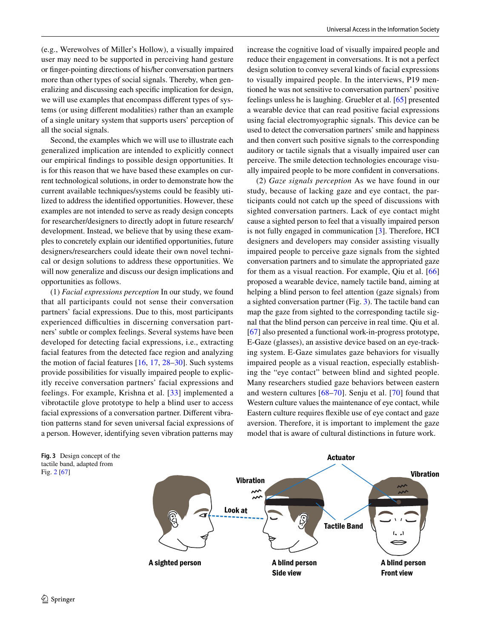(e.g., Werewolves of Miller's Hollow), a visually impaired user may need to be supported in perceiving hand gesture or fnger-pointing directions of his/her conversation partners more than other types of social signals. Thereby, when generalizing and discussing each specifc implication for design, we will use examples that encompass diferent types of systems (or using diferent modalities) rather than an example of a single unitary system that supports users' perception of all the social signals.

Second, the examples which we will use to illustrate each generalized implication are intended to explicitly connect our empirical fndings to possible design opportunities. It is for this reason that we have based these examples on current technological solutions, in order to demonstrate how the current available techniques/systems could be feasibly utilized to address the identifed opportunities. However, these examples are not intended to serve as ready design concepts for researcher/designers to directly adopt in future research/ development. Instead, we believe that by using these examples to concretely explain our identifed opportunities, future designers/researchers could ideate their own novel technical or design solutions to address these opportunities. We will now generalize and discuss our design implications and opportunities as follows.

(1) *Facial expressions perception* In our study, we found that all participants could not sense their conversation partners' facial expressions. Due to this, most participants experienced difficulties in discerning conversation partners' subtle or complex feelings. Several systems have been developed for detecting facial expressions, i.e., extracting facial features from the detected face region and analyzing the motion of facial features  $[16, 17, 28-30]$  $[16, 17, 28-30]$  $[16, 17, 28-30]$  $[16, 17, 28-30]$  $[16, 17, 28-30]$  $[16, 17, 28-30]$  $[16, 17, 28-30]$ . Such systems provide possibilities for visually impaired people to explicitly receive conversation partners' facial expressions and feelings. For example, Krishna et al. [[33\]](#page-16-23) implemented a vibrotactile glove prototype to help a blind user to access facial expressions of a conversation partner. Diferent vibration patterns stand for seven universal facial expressions of a person. However, identifying seven vibration patterns may

increase the cognitive load of visually impaired people and reduce their engagement in conversations. It is not a perfect design solution to convey several kinds of facial expressions to visually impaired people. In the interviews, P19 mentioned he was not sensitive to conversation partners' positive feelings unless he is laughing. Gruebler et al. [\[65](#page-17-19)] presented a wearable device that can read positive facial expressions using facial electromyographic signals. This device can be used to detect the conversation partners' smile and happiness and then convert such positive signals to the corresponding auditory or tactile signals that a visually impaired user can perceive. The smile detection technologies encourage visually impaired people to be more confdent in conversations.

(2) *Gaze signals perception* As we have found in our study, because of lacking gaze and eye contact, the participants could not catch up the speed of discussions with sighted conversation partners. Lack of eye contact might cause a sighted person to feel that a visually impaired person is not fully engaged in communication [\[3\]](#page-15-2). Therefore, HCI designers and developers may consider assisting visually impaired people to perceive gaze signals from the sighted conversation partners and to simulate the appropriated gaze for them as a visual reaction. For example, Qiu et al. [[66](#page-17-20)] proposed a wearable device, namely tactile band, aiming at helping a blind person to feel attention (gaze signals) from a sighted conversation partner (Fig. [3](#page-13-0)). The tactile band can map the gaze from sighted to the corresponding tactile signal that the blind person can perceive in real time. Qiu et al. [\[67](#page-17-21)] also presented a functional work-in-progress prototype, E-Gaze (glasses), an assistive device based on an eye-tracking system. E-Gaze simulates gaze behaviors for visually impaired people as a visual reaction, especially establishing the "eye contact" between blind and sighted people. Many researchers studied gaze behaviors between eastern and western cultures [[68](#page-17-22)[–70](#page-17-23)]. Senju et al. [[70\]](#page-17-23) found that Western culture values the maintenance of eye contact, while Eastern culture requires fexible use of eye contact and gaze aversion. Therefore, it is important to implement the gaze model that is aware of cultural distinctions in future work.

<span id="page-13-0"></span>

Fig. [2](#page-6-1) [[67](#page-17-21)]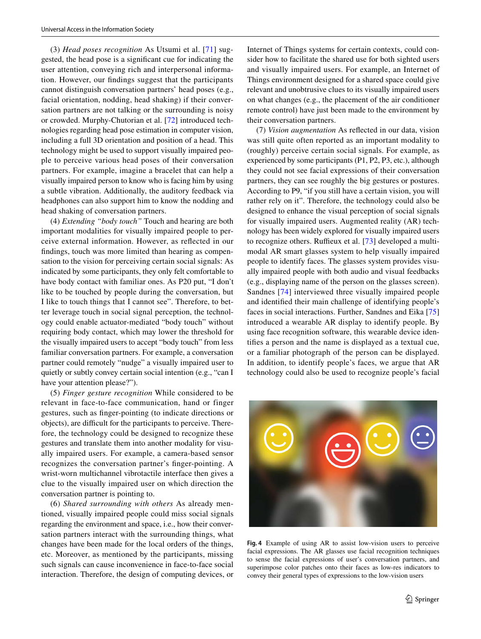(3) *Head poses recognition* As Utsumi et al. [[71\]](#page-17-24) suggested, the head pose is a signifcant cue for indicating the user attention, conveying rich and interpersonal information. However, our fndings suggest that the participants cannot distinguish conversation partners' head poses (e.g., facial orientation, nodding, head shaking) if their conversation partners are not talking or the surrounding is noisy or crowded. Murphy-Chutorian et al. [[72](#page-17-25)] introduced technologies regarding head pose estimation in computer vision, including a full 3D orientation and position of a head. This technology might be used to support visually impaired people to perceive various head poses of their conversation partners. For example, imagine a bracelet that can help a visually impaired person to know who is facing him by using a subtle vibration. Additionally, the auditory feedback via headphones can also support him to know the nodding and head shaking of conversation partners.

(4) *Extending "body touch"* Touch and hearing are both important modalities for visually impaired people to perceive external information. However, as refected in our fndings, touch was more limited than hearing as compensation to the vision for perceiving certain social signals: As indicated by some participants, they only felt comfortable to have body contact with familiar ones. As P20 put, "I don't like to be touched by people during the conversation, but I like to touch things that I cannot see". Therefore, to better leverage touch in social signal perception, the technology could enable actuator-mediated "body touch" without requiring body contact, which may lower the threshold for the visually impaired users to accept "body touch" from less familiar conversation partners. For example, a conversation partner could remotely "nudge" a visually impaired user to quietly or subtly convey certain social intention (e.g., "can I have your attention please?").

(5) *Finger gesture recognition* While considered to be relevant in face-to-face communication, hand or finger gestures, such as fnger-pointing (to indicate directions or objects), are difficult for the participants to perceive. Therefore, the technology could be designed to recognize these gestures and translate them into another modality for visually impaired users. For example, a camera-based sensor recognizes the conversation partner's fnger-pointing. A wrist-worn multichannel vibrotactile interface then gives a clue to the visually impaired user on which direction the conversation partner is pointing to.

(6) *Shared surrounding with others* As already mentioned, visually impaired people could miss social signals regarding the environment and space, i.e., how their conversation partners interact with the surrounding things, what changes have been made for the local orders of the things, etc. Moreover, as mentioned by the participants, missing such signals can cause inconvenience in face-to-face social interaction. Therefore, the design of computing devices, or Internet of Things systems for certain contexts, could consider how to facilitate the shared use for both sighted users and visually impaired users. For example, an Internet of Things environment designed for a shared space could give relevant and unobtrusive clues to its visually impaired users on what changes (e.g., the placement of the air conditioner remote control) have just been made to the environment by their conversation partners.

(7) *Vision augmentation* As refected in our data, vision was still quite often reported as an important modality to (roughly) perceive certain social signals. For example, as experienced by some participants (P1, P2, P3, etc.), although they could not see facial expressions of their conversation partners, they can see roughly the big gestures or postures. According to P9, "if you still have a certain vision, you will rather rely on it". Therefore, the technology could also be designed to enhance the visual perception of social signals for visually impaired users. Augmented reality (AR) technology has been widely explored for visually impaired users to recognize others. Ruffieux et al. [\[73](#page-17-26)] developed a multimodal AR smart glasses system to help visually impaired people to identify faces. The glasses system provides visually impaired people with both audio and visual feedbacks (e.g., displaying name of the person on the glasses screen). Sandnes [\[74\]](#page-17-27) interviewed three visually impaired people and identifed their main challenge of identifying people's faces in social interactions. Further, Sandnes and Eika [[75\]](#page-17-28) introduced a wearable AR display to identify people. By using face recognition software, this wearable device identifes a person and the name is displayed as a textual cue, or a familiar photograph of the person can be displayed. In addition, to identify people's faces, we argue that AR technology could also be used to recognize people's facial

<span id="page-14-0"></span>

**Fig. 4** Example of using AR to assist low-vision users to perceive facial expressions. The AR glasses use facial recognition techniques to sense the facial expressions of user's conversation partners, and superimpose color patches onto their faces as low-res indicators to convey their general types of expressions to the low-vision users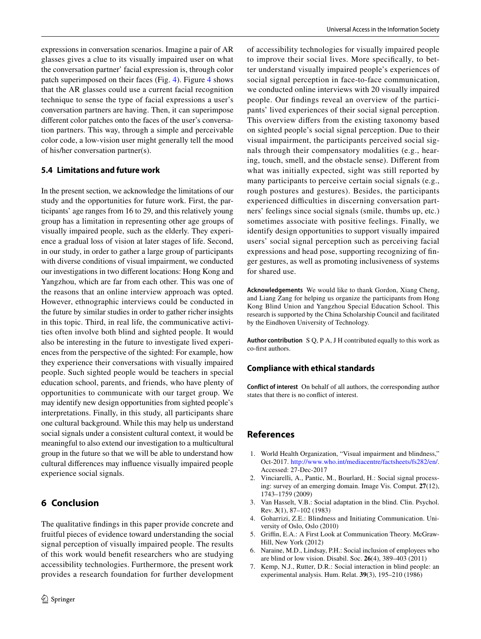expressions in conversation scenarios. Imagine a pair of AR glasses gives a clue to its visually impaired user on what the conversation partner' facial expression is, through color patch superimposed on their faces (Fig. [4\)](#page-14-0). Figure [4](#page-14-0) shows that the AR glasses could use a current facial recognition technique to sense the type of facial expressions a user's conversation partners are having. Then, it can superimpose diferent color patches onto the faces of the user's conversation partners. This way, through a simple and perceivable color code, a low-vision user might generally tell the mood of his/her conversation partner(s).

## **5.4 Limitations and future work**

In the present section, we acknowledge the limitations of our study and the opportunities for future work. First, the participants' age ranges from 16 to 29, and this relatively young group has a limitation in representing other age groups of visually impaired people, such as the elderly. They experience a gradual loss of vision at later stages of life. Second, in our study, in order to gather a large group of participants with diverse conditions of visual impairment, we conducted our investigations in two diferent locations: Hong Kong and Yangzhou, which are far from each other. This was one of the reasons that an online interview approach was opted. However, ethnographic interviews could be conducted in the future by similar studies in order to gather richer insights in this topic. Third, in real life, the communicative activities often involve both blind and sighted people. It would also be interesting in the future to investigate lived experiences from the perspective of the sighted: For example, how they experience their conversations with visually impaired people. Such sighted people would be teachers in special education school, parents, and friends, who have plenty of opportunities to communicate with our target group. We may identify new design opportunities from sighted people's interpretations. Finally, in this study, all participants share one cultural background. While this may help us understand social signals under a consistent cultural context, it would be meaningful to also extend our investigation to a multicultural group in the future so that we will be able to understand how cultural diferences may infuence visually impaired people experience social signals.

# **6 Conclusion**

The qualitative fndings in this paper provide concrete and fruitful pieces of evidence toward understanding the social signal perception of visually impaired people. The results of this work would beneft researchers who are studying accessibility technologies. Furthermore, the present work provides a research foundation for further development of accessibility technologies for visually impaired people to improve their social lives. More specifcally, to better understand visually impaired people's experiences of social signal perception in face-to-face communication, we conducted online interviews with 20 visually impaired people. Our fndings reveal an overview of the participants' lived experiences of their social signal perception. This overview difers from the existing taxonomy based on sighted people's social signal perception. Due to their visual impairment, the participants perceived social signals through their compensatory modalities (e.g., hearing, touch, smell, and the obstacle sense). Diferent from what was initially expected, sight was still reported by many participants to perceive certain social signals (e.g., rough postures and gestures). Besides, the participants experienced difficulties in discerning conversation partners' feelings since social signals (smile, thumbs up, etc.) sometimes associate with positive feelings. Finally, we identify design opportunities to support visually impaired users' social signal perception such as perceiving facial expressions and head pose, supporting recognizing of fnger gestures, as well as promoting inclusiveness of systems for shared use.

**Acknowledgements** We would like to thank Gordon, Xiang Cheng, and Liang Zang for helping us organize the participants from Hong Kong Blind Union and Yangzhou Special Education School. This research is supported by the China Scholarship Council and facilitated by the Eindhoven University of Technology.

**Author contribution** S Q, P A, J H contributed equally to this work as co-frst authors.

#### **Compliance with ethical standards**

**Conflict of interest** On behalf of all authors, the corresponding author states that there is no confict of interest.

# **References**

- <span id="page-15-0"></span>1. World Health Organization, "Visual impairment and blindness," Oct-2017. <http://www.who.int/mediacentre/factsheets/fs282/en/>. Accessed: 27-Dec-2017
- <span id="page-15-1"></span>2. Vinciarelli, A., Pantic, M., Bourlard, H.: Social signal processing: survey of an emerging domain. Image Vis. Comput. **27**(12), 1743–1759 (2009)
- <span id="page-15-2"></span>3. Van Hasselt, V.B.: Social adaptation in the blind. Clin. Psychol. Rev. **3**(1), 87–102 (1983)
- <span id="page-15-3"></span>4. Goharrizi, Z.E.: Blindness and Initiating Communication. University of Oslo, Oslo (2010)
- <span id="page-15-4"></span>5. Grifn, E.A.: A First Look at Communication Theory. McGraw-Hill, New York (2012)
- <span id="page-15-5"></span>6. Naraine, M.D., Lindsay, P.H.: Social inclusion of employees who are blind or low vision. Disabil. Soc. **26**(4), 389–403 (2011)
- <span id="page-15-6"></span>7. Kemp, N.J., Rutter, D.R.: Social interaction in blind people: an experimental analysis. Hum. Relat. **39**(3), 195–210 (1986)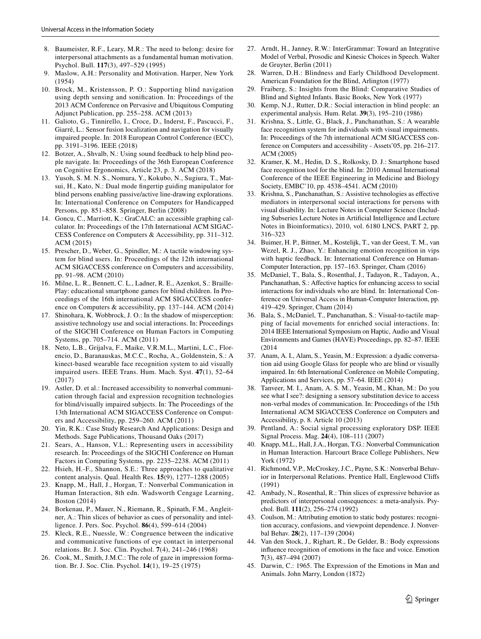- <span id="page-16-0"></span>8. Baumeister, R.F., Leary, M.R.: The need to belong: desire for interpersonal attachments as a fundamental human motivation. Psychol. Bull. **117**(3), 497–529 (1995)
- <span id="page-16-1"></span>9. Maslow, A.H.: Personality and Motivation. Harper, New York (1954)
- <span id="page-16-2"></span>10. Brock, M., Kristensson, P. O.: Supporting blind navigation using depth sensing and sonifcation. In: Proceedings of the 2013 ACM Conference on Pervasive and Ubiquitous Computing Adjunct Publication, pp. 255–258. ACM (2013)
- 11. Galioto, G., Tinnirello, I., Croce, D., Inderst, F., Pascucci, F., Giarré, L.: Sensor fusion localization and navigation for visually impaired people. In: 2018 European Control Conference (ECC), pp. 3191–3196. IEEE (2018)
- 12. Botzer, A., Shvalb, N.: Using sound feedback to help blind people navigate. In: Proceedings of the 36th European Conference on Cognitive Ergonomics, Article 23, p. 3. ACM (2018)
- <span id="page-16-3"></span>13. Yusoh, S. M. N. S., Nomura, Y., Kokubo, N., Sugiura, T., Matsui, H., Kato, N.: Dual mode fngertip guiding manipulator for blind persons enabling passive/active line-drawing explorations. In: International Conference on Computers for Handicapped Persons, pp. 851–858. Springer, Berlin (2008)
- <span id="page-16-4"></span>14. Goncu, C., Marriott, K.: GraCALC: an accessible graphing calculator. In: Proceedings of the 17th International ACM SIGAC-CESS Conference on Computers & Accessibility, pp. 311–312. ACM (2015)
- <span id="page-16-5"></span>15. Prescher, D., Weber, G., Spindler, M.: A tactile windowing system for blind users. In: Proceedings of the 12th international ACM SIGACCESS conference on Computers and accessibility, pp. 91–98. ACM (2010)
- <span id="page-16-6"></span>16. Milne, L. R., Bennett, C. L., Ladner, R. E., Azenkot, S.: Braille-Play: educational smartphone games for blind children. In Proceedings of the 16th international ACM SIGACCESS conference on Computers & accessibility, pp. 137–144. ACM (2014)
- <span id="page-16-7"></span>17. Shinohara, K. Wobbrock, J. O.: In the shadow of misperception: assistive technology use and social interactions. In: Proceedings of the SIGCHI Conference on Human Factors in Computing Systems, pp. 705–714. ACM (2011)
- <span id="page-16-8"></span>18. Neto, L.B., Grijalva, F., Maike, V.R.M.L., Martini, L.C., Florencio, D., Baranauskas, M.C.C., Rocha, A., Goldenstein, S.: A kinect-based wearable face recognition system to aid visually impaired users. IEEE Trans. Hum. Mach. Syst. **47**(1), 52–64 (2017)
- <span id="page-16-9"></span>19. Astler, D. et al.: Increased accessibility to nonverbal communication through facial and expression recognition technologies for blind/visually impaired subjects. In: The Proceedings of the 13th International ACM SIGACCESS Conference on Computers and Accessibility, pp. 259–260. ACM (2011)
- <span id="page-16-10"></span>20. Yin, R.K.: Case Study Research And Applications: Design and Methods. Sage Publications, Thousand Oaks (2017)
- <span id="page-16-11"></span>21. Sears, A., Hanson, V.L.: Representing users in accessibility research. In: Proceedings of the SIGCHI Conference on Human Factors in Computing Systems, pp. 2235–2238. ACM (2011)
- <span id="page-16-12"></span>22. Hsieh, H.-F., Shannon, S.E.: Three approaches to qualitative content analysis. Qual. Health Res. **15**(9), 1277–1288 (2005)
- <span id="page-16-13"></span>23. Knapp, M., Hall, J., Horgan, T.: Nonverbal Communication in Human Interaction, 8th edn. Wadsworth Cengage Learning, Boston (2014)
- <span id="page-16-14"></span>24. Borkenau, P., Mauer, N., Riemann, R., Spinath, F.M., Angleitner, A.: Thin slices of behavior as cues of personality and intelligence. J. Pers. Soc. Psychol. **86**(4), 599–614 (2004)
- <span id="page-16-15"></span>25. Kleck, R.E., Nuessle, W.: Congruence between the indicative and communicative functions of eye contact in interpersonal relations. Br. J. Soc. Clin. Psychol. **7**(4), 241–246 (1968)
- <span id="page-16-17"></span>26. Cook, M., Smith, J.M.C.: The role of gaze in impression formation. Br. J. Soc. Clin. Psychol. **14**(1), 19–25 (1975)
- <span id="page-16-16"></span>27. Arndt, H., Janney, R.W.: InterGrammar: Toward an Integrative Model of Verbal, Prosodic and Kinesic Choices in Speech. Walter de Gruyter, Berlin (2011)
- <span id="page-16-18"></span>28. Warren, D.H.: Blindness and Early Childhood Development. American Foundation for the Blind, Arlington (1977)
- <span id="page-16-19"></span>29. Fraiberg, S.: Insights from the Blind: Comparative Studies of Blind and Sighted Infants. Basic Books, New York (1977)
- <span id="page-16-20"></span>30. Kemp, N.J., Rutter, D.R.: Social interaction in blind people: an experimental analysis. Hum. Relat. **39**(3), 195–210 (1986)
- <span id="page-16-21"></span>31. Krishna, S., Little, G., Black, J., Panchanathan, S.: A wearable face recognition system for individuals with visual impairments. In: Proceedings of the 7th international ACM SIGACCESS conference on Computers and accessibility - Assets'05, pp. 216–217. ACM (2005)
- <span id="page-16-22"></span>32. Kramer, K. M., Hedin, D. S., Rolkosky, D. J.: Smartphone based face recognition tool for the blind. In: 2010 Annual International Conference of the IEEE Engineering in Medicine and Biology Society, EMBC'10, pp. 4538–4541. ACM (2010)
- <span id="page-16-23"></span>33. Krishna, S., Panchanathan, S.: Assistive technologies as efective mediators in interpersonal social interactions for persons with visual disability. In: Lecture Notes in Computer Science (Including Subseries Lecture Notes in Artifcial Intelligence and Lecture Notes in Bioinformatics), 2010, vol. 6180 LNCS, PART 2, pp. 316–323
- <span id="page-16-25"></span>34. Buimer, H. P., Bittner, M., Kostelijk, T., van der Geest, T. M., van Wezel, R. J., Zhao, Y.: Enhancing emotion recognition in vips with haptic feedback. In: International Conference on Human-Computer Interaction, pp. 157–163. Springer, Cham (2016)
- 35. McDaniel, T., Bala, S., Rosenthal, J., Tadayon, R., Tadayon, A., Panchanathan, S.: Affective haptics for enhancing access to social interactions for individuals who are blind. In: International Conference on Universal Access in Human-Computer Interaction, pp. 419–429. Springer, Cham (2014)
- <span id="page-16-24"></span>36. Bala, S., McDaniel, T., Panchanathan, S.: Visual-to-tactile mapping of facial movements for enriched social interactions. In: 2014 IEEE International Symposium on Haptic, Audio and Visual Environments and Games (HAVE) Proceedings, pp. 82–87. IEEE (2014
- <span id="page-16-26"></span>37. Anam, A. I., Alam, S., Yeasin, M.: Expression: a dyadic conversation aid using Google Glass for people who are blind or visually impaired. In: 6th International Conference on Mobile Computing, Applications and Services, pp. 57–64. IEEE (2014)
- <span id="page-16-27"></span>38. Tanveer, M. I., Anam, A. S. M., Yeasin, M., Khan, M.: Do you see what I see?: designing a sensory substitution device to access non-verbal modes of communication. In: Proceedings of the 15th International ACM SIGACCESS Conference on Computers and Accessibility, p. 8. Article 10 (2013)
- <span id="page-16-28"></span>39. Pentland, A.: Social signal processing exploratory DSP. IEEE Signal Process. Mag. **24**(4), 108–111 (2007)
- <span id="page-16-29"></span>40. Knapp, M.L., Hall, J.A., Horgan, T.G.: Nonverbal Communication in Human Interaction. Harcourt Brace College Publishers, New York (1972)
- <span id="page-16-30"></span>41. Richmond, V.P., McCroskey, J.C., Payne, S.K.: Nonverbal Behavior in Interpersonal Relations. Prentice Hall, Englewood Clifs (1991)
- <span id="page-16-31"></span>42. Ambady, N., Rosenthal, R.: Thin slices of expressive behavior as predictors of interpersonal consequences: a meta-analysis. Psychol. Bull. **111**(2), 256–274 (1992)
- <span id="page-16-32"></span>43. Coulson, M.: Attributing emotion to static body postures: recognition accuracy, confusions, and viewpoint dependence. J. Nonverbal Behav. **28**(2), 117–139 (2004)
- <span id="page-16-33"></span>44. Van den Stock, J., Righart, R., De Gelder, B.: Body expressions infuence recognition of emotions in the face and voice. Emotion **7**(3), 487–494 (2007)
- <span id="page-16-34"></span>45. Darwin, C.: 1965. The Expression of the Emotions in Man and Animals. John Marry, London (1872)